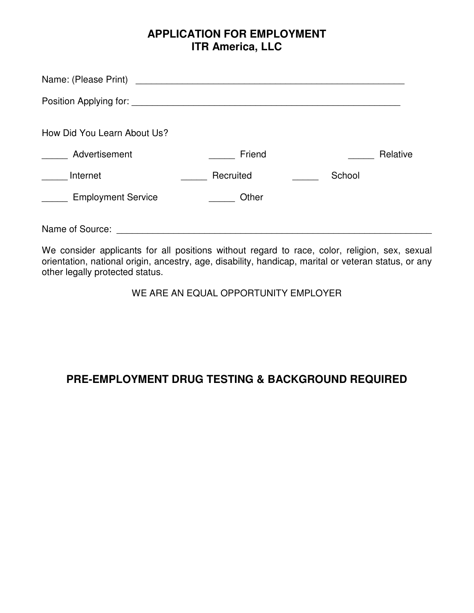## **APPLICATION FOR EMPLOYMENT ITR America, LLC**

| Name: (Please Print)        | <u> 1980 - Johann Stoff, deutscher Stoff, der Stoff, deutscher Stoff, der Stoff, der Stoff, der Stoff, der Stoff, </u> |          |
|-----------------------------|------------------------------------------------------------------------------------------------------------------------|----------|
|                             |                                                                                                                        |          |
| How Did You Learn About Us? |                                                                                                                        |          |
| Advertisement               | Friend                                                                                                                 | Relative |
| Internet                    | Recruited                                                                                                              | School   |
| <b>Employment Service</b>   | Other                                                                                                                  |          |
| Name of Source:             |                                                                                                                        |          |

We consider applicants for all positions without regard to race, color, religion, sex, sexual orientation, national origin, ancestry, age, disability, handicap, marital or veteran status, or any other legally protected status.

WE ARE AN EQUAL OPPORTUNITY EMPLOYER

# **PRE-EMPLOYMENT DRUG TESTING & BACKGROUND REQUIRED**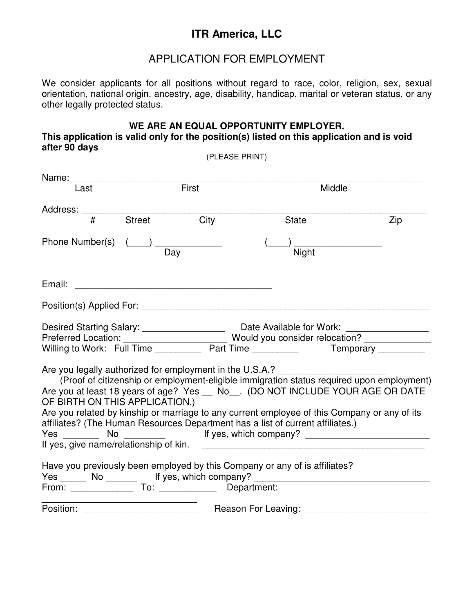# **ITR America, LLC**

### APPLICATION FOR EMPLOYMENT

We consider applicants for all positions without regard to race, color, religion, sex, sexual orientation, national origin, ancestry, age, disability, handicap, marital or veteran status, or any other legally protected status.

#### **WE ARE AN EQUAL OPPORTUNITY EMPLOYER. This application is valid only for the position(s) listed on this application and is void after 90 days**  (PLEASE PRINT)

| Name:                                                                                      |        |       |                                                                                                                                                                            |     |
|--------------------------------------------------------------------------------------------|--------|-------|----------------------------------------------------------------------------------------------------------------------------------------------------------------------------|-----|
| Last                                                                                       |        | First | Middle                                                                                                                                                                     |     |
| Address:                                                                                   |        |       |                                                                                                                                                                            |     |
| #                                                                                          | Street | City  | <b>State</b>                                                                                                                                                               | Zip |
| Phone Number(s)                                                                            |        | Day   | Night                                                                                                                                                                      |     |
| Email:                                                                                     |        |       |                                                                                                                                                                            |     |
|                                                                                            |        |       |                                                                                                                                                                            |     |
|                                                                                            |        |       | Desired Starting Salary: Date Available for Work: Preferred Location: Preferred Location:                                                                                  |     |
|                                                                                            |        |       | Willing to Work: Full Time Part Time Part Time Temporary                                                                                                                   |     |
| Are you legally authorized for employment in the U.S.A.?<br>OF BIRTH ON THIS APPLICATION.) |        |       | (Proof of citizenship or employment-eligible immigration status required upon employment)<br>Are you at least 18 years of age? Yes _ No_. (DO NOT INCLUDE YOUR AGE OR DATE |     |
|                                                                                            |        |       | Are you related by kinship or marriage to any current employee of this Company or any of its                                                                               |     |
|                                                                                            |        |       | affiliates? (The Human Resources Department has a list of current affiliates.)<br>Yes __________ No _____________ If yes, which company? _________________________         |     |
|                                                                                            |        |       | If yes, give name/relationship of kin.                                                                                                                                     |     |
|                                                                                            |        |       | Have you previously been employed by this Company or any of is affiliates?<br>Yes ______ No ________ If yes, which company? __________________________________             |     |
|                                                                                            |        |       |                                                                                                                                                                            |     |
|                                                                                            |        |       |                                                                                                                                                                            |     |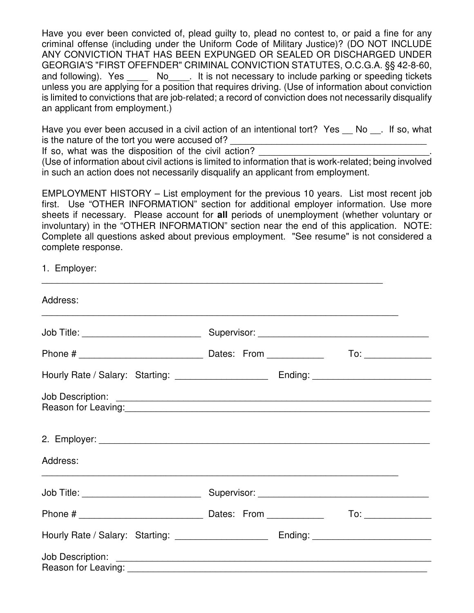Have you ever been convicted of, plead guilty to, plead no contest to, or paid a fine for any criminal offense (including under the Uniform Code of Military Justice)? (DO NOT INCLUDE ANY CONVICTION THAT HAS BEEN EXPUNGED OR SEALED OR DISCHARGED UNDER GEORGIA'S "FIRST OFEFNDER" CRIMINAL CONVICTION STATUTES, O.C.G.A. §§ 42-8-60, and following). Yes \_\_\_\_\_\_ No\_\_\_\_. It is not necessary to include parking or speeding tickets unless you are applying for a position that requires driving. (Use of information about conviction is limited to convictions that are job-related; a record of conviction does not necessarily disqualify an applicant from employment.)

Have you ever been accused in a civil action of an intentional tort? Yes \_\_ No \_\_. If so, what is the nature of the tort you were accused of?

If so, what was the disposition of the civil action?

(Use of information about civil actions is limited to information that is work-related; being involved in such an action does not necessarily disqualify an applicant from employment.

EMPLOYMENT HISTORY – List employment for the previous 10 years. List most recent job first. Use "OTHER INFORMATION" section for additional employer information. Use more sheets if necessary. Please account for **all** periods of unemployment (whether voluntary or involuntary) in the "OTHER INFORMATION" section near the end of this application. NOTE: Complete all questions asked about previous employment. "See resume" is not considered a complete response.

 $\overline{\phantom{a}}$  , and the contribution of the contribution of the contribution of the contribution of the contribution of the contribution of the contribution of the contribution of the contribution of the contribution of the

1. Employer:

| Address:                                                                                                        |  |
|-----------------------------------------------------------------------------------------------------------------|--|
|                                                                                                                 |  |
|                                                                                                                 |  |
|                                                                                                                 |  |
| Reason for Leaving: 1990 and 200 million and 200 million and 200 million and 200 million and 200 million and 20 |  |
|                                                                                                                 |  |
| Address:                                                                                                        |  |
|                                                                                                                 |  |
|                                                                                                                 |  |
| Hourly Rate / Salary: Starting: ____________________ Ending: ___________________                                |  |
|                                                                                                                 |  |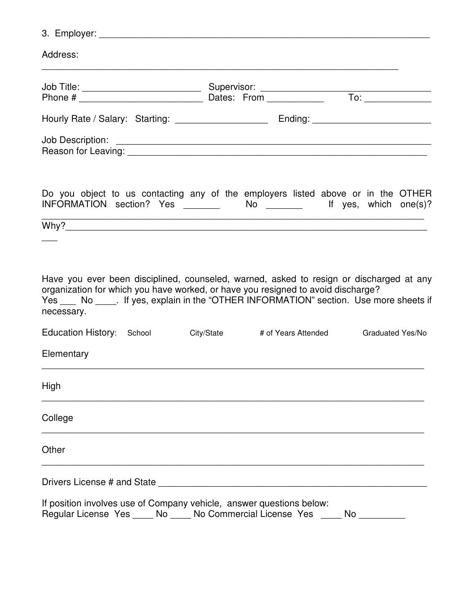3. Employer: \_\_\_\_\_\_\_\_\_\_\_\_\_\_\_\_\_\_\_\_\_\_\_\_\_\_\_\_\_\_\_\_\_\_\_\_\_\_\_\_\_\_\_\_\_\_\_\_\_\_\_\_\_\_\_\_\_\_\_\_\_\_\_\_

| Hourly Rate / Salary: Starting: _______________________ Ending: _________________                                                                                                                                                                                                     |  |  |                         |  |
|---------------------------------------------------------------------------------------------------------------------------------------------------------------------------------------------------------------------------------------------------------------------------------------|--|--|-------------------------|--|
|                                                                                                                                                                                                                                                                                       |  |  |                         |  |
| Do you object to us contacting any of the employers listed above or in the OTHER<br>INFORMATION section? Yes ________ No _______ If yes, which one(s)?                                                                                                                                |  |  |                         |  |
|                                                                                                                                                                                                                                                                                       |  |  |                         |  |
|                                                                                                                                                                                                                                                                                       |  |  |                         |  |
|                                                                                                                                                                                                                                                                                       |  |  |                         |  |
| Have you ever been disciplined, counseled, warned, asked to resign or discharged at any<br>organization for which you have worked, or have you resigned to avoid discharge?<br>Yes ___ No _____. If yes, explain in the "OTHER INFORMATION" section. Use more sheets if<br>necessary. |  |  |                         |  |
| Education History: School City/State # of Years Attended                                                                                                                                                                                                                              |  |  | <b>Graduated Yes/No</b> |  |
| Elementary                                                                                                                                                                                                                                                                            |  |  |                         |  |
| <b>High</b>                                                                                                                                                                                                                                                                           |  |  |                         |  |
| College                                                                                                                                                                                                                                                                               |  |  |                         |  |
| Other                                                                                                                                                                                                                                                                                 |  |  |                         |  |
|                                                                                                                                                                                                                                                                                       |  |  |                         |  |
| If position involves use of Company vehicle, answer questions below:                                                                                                                                                                                                                  |  |  |                         |  |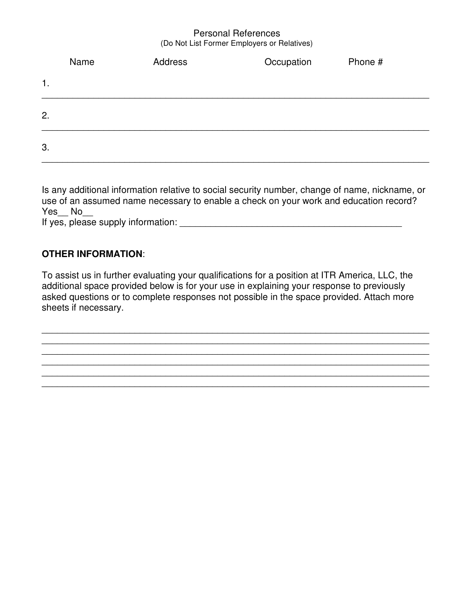#### Personal References (Do Not List Former Employers or Relatives)

|                | Name | Address | Occupation | Phone # |
|----------------|------|---------|------------|---------|
| $\mathbf{1}$ . |      |         |            |         |
| 2.             |      |         |            |         |
| 3.             |      |         |            |         |

Is any additional information relative to social security number, change of name, nickname, or use of an assumed name necessary to enable a check on your work and education record? Yes No If yes, please supply information:  $\frac{1}{2}$  =  $\frac{1}{2}$  =  $\frac{1}{2}$  =  $\frac{1}{2}$  =  $\frac{1}{2}$  =  $\frac{1}{2}$  =  $\frac{1}{2}$  =  $\frac{1}{2}$  =  $\frac{1}{2}$  =  $\frac{1}{2}$  =  $\frac{1}{2}$  =  $\frac{1}{2}$  =  $\frac{1}{2}$  =  $\frac{1}{2}$  =  $\frac{1}{2}$  =  $\frac{1}{$ 

### **OTHER INFORMATION**:

To assist us in further evaluating your qualifications for a position at ITR America, LLC, the additional space provided below is for your use in explaining your response to previously asked questions or to complete responses not possible in the space provided. Attach more sheets if necessary.

\_\_\_\_\_\_\_\_\_\_\_\_\_\_\_\_\_\_\_\_\_\_\_\_\_\_\_\_\_\_\_\_\_\_\_\_\_\_\_\_\_\_\_\_\_\_\_\_\_\_\_\_\_\_\_\_\_\_\_\_\_\_\_\_\_\_\_\_\_\_\_\_\_\_\_ \_\_\_\_\_\_\_\_\_\_\_\_\_\_\_\_\_\_\_\_\_\_\_\_\_\_\_\_\_\_\_\_\_\_\_\_\_\_\_\_\_\_\_\_\_\_\_\_\_\_\_\_\_\_\_\_\_\_\_\_\_\_\_\_\_\_\_\_\_\_\_\_\_\_\_

\_\_\_\_\_\_\_\_\_\_\_\_\_\_\_\_\_\_\_\_\_\_\_\_\_\_\_\_\_\_\_\_\_\_\_\_\_\_\_\_\_\_\_\_\_\_\_\_\_\_\_\_\_\_\_\_\_\_\_\_\_\_\_\_\_\_\_\_\_\_\_\_\_\_\_ \_\_\_\_\_\_\_\_\_\_\_\_\_\_\_\_\_\_\_\_\_\_\_\_\_\_\_\_\_\_\_\_\_\_\_\_\_\_\_\_\_\_\_\_\_\_\_\_\_\_\_\_\_\_\_\_\_\_\_\_\_\_\_\_\_\_\_\_\_\_\_\_\_\_\_ \_\_\_\_\_\_\_\_\_\_\_\_\_\_\_\_\_\_\_\_\_\_\_\_\_\_\_\_\_\_\_\_\_\_\_\_\_\_\_\_\_\_\_\_\_\_\_\_\_\_\_\_\_\_\_\_\_\_\_\_\_\_\_\_\_\_\_\_\_\_\_\_\_\_\_

\_\_\_\_\_\_\_\_\_\_\_\_\_\_\_\_\_\_\_\_\_\_\_\_\_\_\_\_\_\_\_\_\_\_\_\_\_\_\_\_\_\_\_\_\_\_\_\_\_\_\_\_\_\_\_\_\_\_\_\_\_\_\_\_\_\_\_\_\_\_\_\_\_\_\_